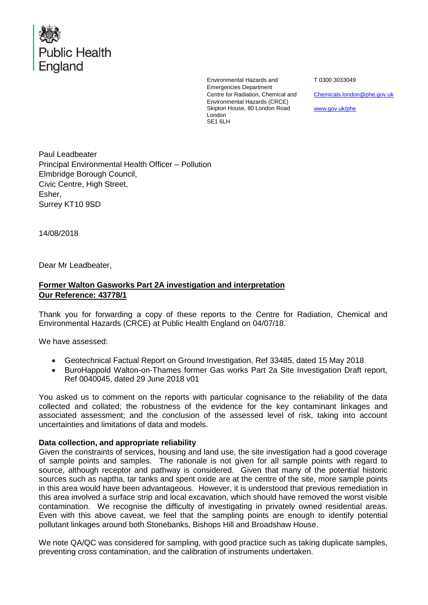

Environmental Hazards and Emergencies Department Centre for Radiation, Chemical and Environmental Hazards (CRCE) Skipton House, 80 London Road London SE1 6LH

T 0300 3033049

[Chemicals.london@phe.gov.uk](mailto:Chemicals.london@phe.gov.uk)

[www.gov.uk/phe](http://www.gov.uk/phe)

Paul Leadbeater Principal Environmental Health Officer – Pollution Elmbridge Borough Council, Civic Centre, High Street, Esher, Surrey KT10 9SD

14/08/2018

Dear Mr Leadbeater,

## **Former Walton Gasworks Part 2A investigation and interpretation Our Reference: 43778/1**

Thank you for forwarding a copy of these reports to the Centre for Radiation, Chemical and Environmental Hazards (CRCE) at Public Health England on 04/07/18.

We have assessed:

- Geotechnical Factual Report on Ground Investigation, Ref 33485, dated 15 May 2018
- BuroHappold Walton-on-Thames former Gas works Part 2a Site Investigation Draft report, Ref 0040045, dated 29 June 2018 v01

You asked us to comment on the reports with particular cognisance to the reliability of the data collected and collated; the robustness of the evidence for the key contaminant linkages and associated assessment; and the conclusion of the assessed level of risk, taking into account uncertainties and limitations of data and models.

## **Data collection, and appropriate reliability**

Given the constraints of services, housing and land use, the site investigation had a good coverage of sample points and samples. The rationale is not given for all sample points with regard to source, although receptor and pathway is considered. Given that many of the potential historic sources such as naptha, tar tanks and spent oxide are at the centre of the site, more sample points in this area would have been advantageous. However, it is understood that previous remediation in this area involved a surface strip and local excavation, which should have removed the worst visible contamination. We recognise the difficulty of investigating in privately owned residential areas. Even with this above caveat, we feel that the sampling points are enough to identify potential pollutant linkages around both Stonebanks, Bishops Hill and Broadshaw House.

We note QA/QC was considered for sampling, with good practice such as taking duplicate samples, preventing cross contamination, and the calibration of instruments undertaken.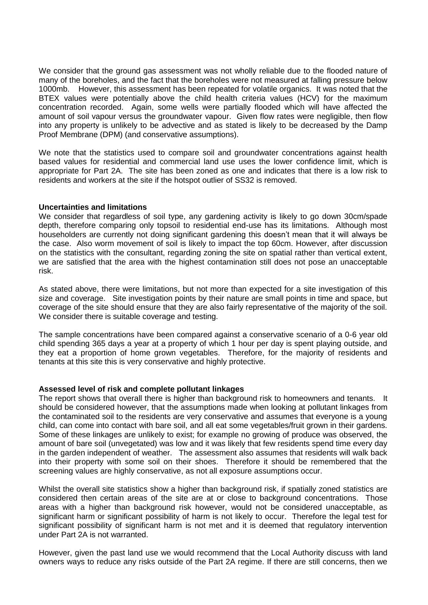We consider that the ground gas assessment was not wholly reliable due to the flooded nature of many of the boreholes, and the fact that the boreholes were not measured at falling pressure below 1000mb. However, this assessment has been repeated for volatile organics. It was noted that the BTEX values were potentially above the child health criteria values (HCV) for the maximum concentration recorded. Again, some wells were partially flooded which will have affected the amount of soil vapour versus the groundwater vapour. Given flow rates were negligible, then flow into any property is unlikely to be advective and as stated is likely to be decreased by the Damp Proof Membrane (DPM) (and conservative assumptions).

We note that the statistics used to compare soil and groundwater concentrations against health based values for residential and commercial land use uses the lower confidence limit, which is appropriate for Part 2A. The site has been zoned as one and indicates that there is a low risk to residents and workers at the site if the hotspot outlier of SS32 is removed.

## **Uncertainties and limitations**

We consider that regardless of soil type, any gardening activity is likely to go down 30cm/spade depth, therefore comparing only topsoil to residential end-use has its limitations. Although most householders are currently not doing significant gardening this doesn't mean that it will always be the case. Also worm movement of soil is likely to impact the top 60cm. However, after discussion on the statistics with the consultant, regarding zoning the site on spatial rather than vertical extent, we are satisfied that the area with the highest contamination still does not pose an unacceptable risk.

As stated above, there were limitations, but not more than expected for a site investigation of this size and coverage. Site investigation points by their nature are small points in time and space, but coverage of the site should ensure that they are also fairly representative of the majority of the soil. We consider there is suitable coverage and testing.

The sample concentrations have been compared against a conservative scenario of a 0-6 year old child spending 365 days a year at a property of which 1 hour per day is spent playing outside, and they eat a proportion of home grown vegetables. Therefore, for the majority of residents and tenants at this site this is very conservative and highly protective.

## **Assessed level of risk and complete pollutant linkages**

The report shows that overall there is higher than background risk to homeowners and tenants. It should be considered however, that the assumptions made when looking at pollutant linkages from the contaminated soil to the residents are very conservative and assumes that everyone is a young child, can come into contact with bare soil, and all eat some vegetables/fruit grown in their gardens. Some of these linkages are unlikely to exist; for example no growing of produce was observed, the amount of bare soil (unvegetated) was low and it was likely that few residents spend time every day in the garden independent of weather. The assessment also assumes that residents will walk back into their property with some soil on their shoes. Therefore it should be remembered that the screening values are highly conservative, as not all exposure assumptions occur.

Whilst the overall site statistics show a higher than background risk, if spatially zoned statistics are considered then certain areas of the site are at or close to background concentrations. Those areas with a higher than background risk however, would not be considered unacceptable, as significant harm or significant possibility of harm is not likely to occur. Therefore the legal test for significant possibility of significant harm is not met and it is deemed that regulatory intervention under Part 2A is not warranted.

However, given the past land use we would recommend that the Local Authority discuss with land owners ways to reduce any risks outside of the Part 2A regime. If there are still concerns, then we